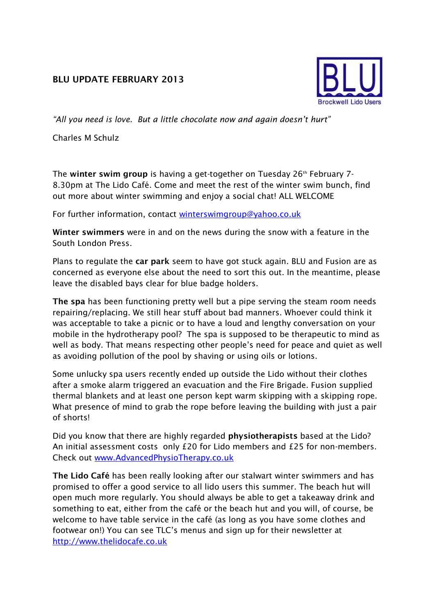## **BLU UPDATE FEBRUARY 2013**



*"All you need is love. But a little chocolate now and again doesn't hurt"*

Charles M Schulz

The **winter swim group** is having a get-together on Tuesday 26<sup>th</sup> February 7-8.30pm at The Lido Café. Come and meet the rest of the winter swim bunch, find out more about winter swimming and enjoy a social chat! ALL WELCOME

For further information, contact [winterswimgroup@yahoo.co.uk](mailto:winterswimgroup@yahoo.co.uk)

**Winter swimmers** were in and on the news during the snow with a feature in the South London Press.

Plans to regulate the **car park** seem to have got stuck again. BLU and Fusion are as concerned as everyone else about the need to sort this out. In the meantime, please leave the disabled bays clear for blue badge holders.

**The spa** has been functioning pretty well but a pipe serving the steam room needs repairing/replacing. We still hear stuff about bad manners. Whoever could think it was acceptable to take a picnic or to have a loud and lengthy conversation on your mobile in the hydrotherapy pool? The spa is supposed to be therapeutic to mind as well as body. That means respecting other people's need for peace and quiet as well as avoiding pollution of the pool by shaving or using oils or lotions.

Some unlucky spa users recently ended up outside the Lido without their clothes after a smoke alarm triggered an evacuation and the Fire Brigade. Fusion supplied thermal blankets and at least one person kept warm skipping with a skipping rope. What presence of mind to grab the rope before leaving the building with just a pair of shorts!

Did you know that there are highly regarded **physiotherapists** based at the Lido? An initial assessment costs only £20 for Lido members and £25 for non-members. Check out [www.AdvancedPhysioTherapy.co.uk](http://www.advancedphysiotherapy.co.uk/)

**The Lido Café** has been really looking after our stalwart winter swimmers and has promised to offer a good service to all lido users this summer. The beach hut will open much more regularly. You should always be able to get a takeaway drink and something to eat, either from the café or the beach hut and you will, of course, be welcome to have table service in the café (as long as you have some clothes and footwear on!) You can see TLC's menus and sign up for their newsletter at [http://www.thelidocafe.co.uk](http://www.thelidocafe.co.uk/)